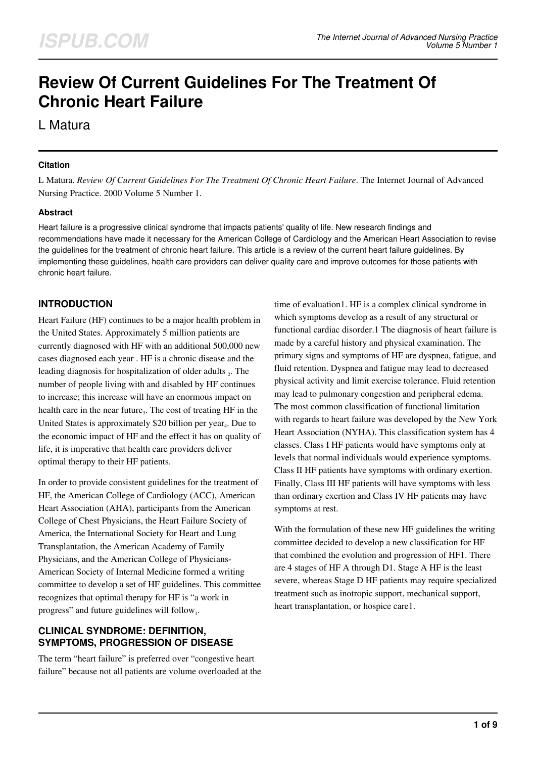# **Review Of Current Guidelines For The Treatment Of Chronic Heart Failure**

L Matura

#### **Citation**

L Matura. *Review Of Current Guidelines For The Treatment Of Chronic Heart Failure*. The Internet Journal of Advanced Nursing Practice. 2000 Volume 5 Number 1.

#### **Abstract**

Heart failure is a progressive clinical syndrome that impacts patients' quality of life. New research findings and recommendations have made it necessary for the American College of Cardiology and the American Heart Association to revise the guidelines for the treatment of chronic heart failure. This article is a review of the current heart failure guidelines. By implementing these guidelines, health care providers can deliver quality care and improve outcomes for those patients with chronic heart failure.

## **INTRODUCTION**

Heart Failure (HF) continues to be a major health problem in the United States. Approximately 5 million patients are currently diagnosed with HF with an additional 500,000 new cases diagnosed each year . HF is a chronic disease and the leading diagnosis for hospitalization of older adults  $_2$ . The number of people living with and disabled by HF continues to increase; this increase will have an enormous impact on health care in the near future<sub>3</sub>. The cost of treating HF in the United States is approximately \$20 billion per year<sub>4</sub>. Due to the economic impact of HF and the effect it has on quality of life, it is imperative that health care providers deliver optimal therapy to their HF patients.

In order to provide consistent guidelines for the treatment of HF, the American College of Cardiology (ACC), American Heart Association (AHA), participants from the American College of Chest Physicians, the Heart Failure Society of America, the International Society for Heart and Lung Transplantation, the American Academy of Family Physicians, and the American College of Physicians-American Society of Internal Medicine formed a writing committee to develop a set of HF guidelines. This committee recognizes that optimal therapy for HF is "a work in progress" and future guidelines will follow<sub>1</sub>.

## **CLINICAL SYNDROME: DEFINITION, SYMPTOMS, PROGRESSION OF DISEASE**

The term "heart failure" is preferred over "congestive heart failure" because not all patients are volume overloaded at the time of evaluation1. HF is a complex clinical syndrome in which symptoms develop as a result of any structural or functional cardiac disorder.1 The diagnosis of heart failure is made by a careful history and physical examination. The primary signs and symptoms of HF are dyspnea, fatigue, and fluid retention. Dyspnea and fatigue may lead to decreased physical activity and limit exercise tolerance. Fluid retention may lead to pulmonary congestion and peripheral edema. The most common classification of functional limitation with regards to heart failure was developed by the New York Heart Association (NYHA). This classification system has 4 classes. Class I HF patients would have symptoms only at levels that normal individuals would experience symptoms. Class II HF patients have symptoms with ordinary exertion. Finally, Class III HF patients will have symptoms with less than ordinary exertion and Class IV HF patients may have symptoms at rest.

With the formulation of these new HF guidelines the writing committee decided to develop a new classification for HF that combined the evolution and progression of HF1. There are 4 stages of HF A through D1. Stage A HF is the least severe, whereas Stage D HF patients may require specialized treatment such as inotropic support, mechanical support, heart transplantation, or hospice care1.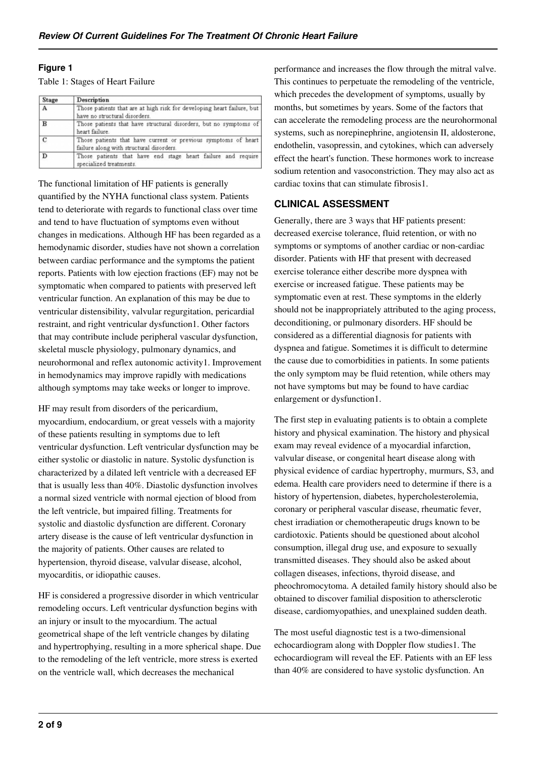#### **Figure 1**

#### Table 1: Stages of Heart Failure

| Stage          | Description                                                                                                |
|----------------|------------------------------------------------------------------------------------------------------------|
| $\overline{A}$ | Those patients that are at high risk for developing heart failure, but<br>have no structural disorders.    |
| $\mathbf{B}$   | Those patients that have structural disorders, but no symptoms of<br>heart failure.                        |
| c              | Those patients that have current or previous symptoms of heart<br>failure along with structural disorders. |
| D              | Those patients that have end stage heart failure and require<br>specialized treatments.                    |

The functional limitation of HF patients is generally quantified by the NYHA functional class system. Patients tend to deteriorate with regards to functional class over time and tend to have fluctuation of symptoms even without changes in medications. Although HF has been regarded as a hemodynamic disorder, studies have not shown a correlation between cardiac performance and the symptoms the patient reports. Patients with low ejection fractions (EF) may not be symptomatic when compared to patients with preserved left ventricular function. An explanation of this may be due to ventricular distensibility, valvular regurgitation, pericardial restraint, and right ventricular dysfunction1. Other factors that may contribute include peripheral vascular dysfunction, skeletal muscle physiology, pulmonary dynamics, and neurohormonal and reflex autonomic activity1. Improvement in hemodynamics may improve rapidly with medications although symptoms may take weeks or longer to improve.

HF may result from disorders of the pericardium, myocardium, endocardium, or great vessels with a majority of these patients resulting in symptoms due to left ventricular dysfunction. Left ventricular dysfunction may be either systolic or diastolic in nature. Systolic dysfunction is characterized by a dilated left ventricle with a decreased EF that is usually less than 40%. Diastolic dysfunction involves a normal sized ventricle with normal ejection of blood from the left ventricle, but impaired filling. Treatments for systolic and diastolic dysfunction are different. Coronary artery disease is the cause of left ventricular dysfunction in the majority of patients. Other causes are related to hypertension, thyroid disease, valvular disease, alcohol, myocarditis, or idiopathic causes.

HF is considered a progressive disorder in which ventricular remodeling occurs. Left ventricular dysfunction begins with an injury or insult to the myocardium. The actual geometrical shape of the left ventricle changes by dilating and hypertrophying, resulting in a more spherical shape. Due to the remodeling of the left ventricle, more stress is exerted on the ventricle wall, which decreases the mechanical

performance and increases the flow through the mitral valve. This continues to perpetuate the remodeling of the ventricle, which precedes the development of symptoms, usually by months, but sometimes by years. Some of the factors that can accelerate the remodeling process are the neurohormonal systems, such as norepinephrine, angiotensin II, aldosterone, endothelin, vasopressin, and cytokines, which can adversely effect the heart's function. These hormones work to increase sodium retention and vasoconstriction. They may also act as cardiac toxins that can stimulate fibrosis1.

#### **CLINICAL ASSESSMENT**

Generally, there are 3 ways that HF patients present: decreased exercise tolerance, fluid retention, or with no symptoms or symptoms of another cardiac or non-cardiac disorder. Patients with HF that present with decreased exercise tolerance either describe more dyspnea with exercise or increased fatigue. These patients may be symptomatic even at rest. These symptoms in the elderly should not be inappropriately attributed to the aging process, deconditioning, or pulmonary disorders. HF should be considered as a differential diagnosis for patients with dyspnea and fatigue. Sometimes it is difficult to determine the cause due to comorbidities in patients. In some patients the only symptom may be fluid retention, while others may not have symptoms but may be found to have cardiac enlargement or dysfunction1.

The first step in evaluating patients is to obtain a complete history and physical examination. The history and physical exam may reveal evidence of a myocardial infarction, valvular disease, or congenital heart disease along with physical evidence of cardiac hypertrophy, murmurs, S3, and edema. Health care providers need to determine if there is a history of hypertension, diabetes, hypercholesterolemia, coronary or peripheral vascular disease, rheumatic fever, chest irradiation or chemotherapeutic drugs known to be cardiotoxic. Patients should be questioned about alcohol consumption, illegal drug use, and exposure to sexually transmitted diseases. They should also be asked about collagen diseases, infections, thyroid disease, and pheochromocytoma. A detailed family history should also be obtained to discover familial disposition to athersclerotic disease, cardiomyopathies, and unexplained sudden death.

The most useful diagnostic test is a two-dimensional echocardiogram along with Doppler flow studies1. The echocardiogram will reveal the EF. Patients with an EF less than 40% are considered to have systolic dysfunction. An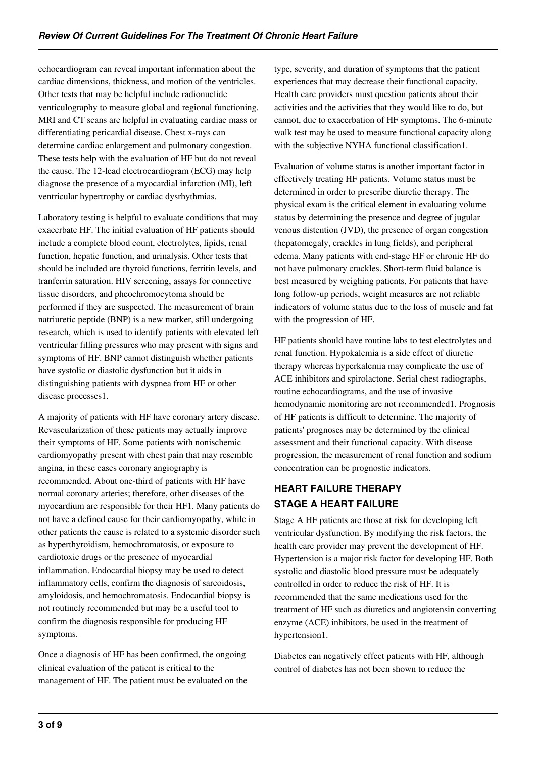echocardiogram can reveal important information about the cardiac dimensions, thickness, and motion of the ventricles. Other tests that may be helpful include radionuclide venticulography to measure global and regional functioning. MRI and CT scans are helpful in evaluating cardiac mass or differentiating pericardial disease. Chest x-rays can determine cardiac enlargement and pulmonary congestion. These tests help with the evaluation of HF but do not reveal the cause. The 12-lead electrocardiogram (ECG) may help diagnose the presence of a myocardial infarction (MI), left ventricular hypertrophy or cardiac dysrhythmias.

Laboratory testing is helpful to evaluate conditions that may exacerbate HF. The initial evaluation of HF patients should include a complete blood count, electrolytes, lipids, renal function, hepatic function, and urinalysis. Other tests that should be included are thyroid functions, ferritin levels, and tranferrin saturation. HIV screening, assays for connective tissue disorders, and pheochromocytoma should be performed if they are suspected. The measurement of brain natriuretic peptide (BNP) is a new marker, still undergoing research, which is used to identify patients with elevated left ventricular filling pressures who may present with signs and symptoms of HF. BNP cannot distinguish whether patients have systolic or diastolic dysfunction but it aids in distinguishing patients with dyspnea from HF or other disease processes1.

A majority of patients with HF have coronary artery disease. Revascularization of these patients may actually improve their symptoms of HF. Some patients with nonischemic cardiomyopathy present with chest pain that may resemble angina, in these cases coronary angiography is recommended. About one-third of patients with HF have normal coronary arteries; therefore, other diseases of the myocardium are responsible for their HF1. Many patients do not have a defined cause for their cardiomyopathy, while in other patients the cause is related to a systemic disorder such as hyperthyroidism, hemochromatosis, or exposure to cardiotoxic drugs or the presence of myocardial inflammation. Endocardial biopsy may be used to detect inflammatory cells, confirm the diagnosis of sarcoidosis, amyloidosis, and hemochromatosis. Endocardial biopsy is not routinely recommended but may be a useful tool to confirm the diagnosis responsible for producing HF symptoms.

Once a diagnosis of HF has been confirmed, the ongoing clinical evaluation of the patient is critical to the management of HF. The patient must be evaluated on the type, severity, and duration of symptoms that the patient experiences that may decrease their functional capacity. Health care providers must question patients about their activities and the activities that they would like to do, but cannot, due to exacerbation of HF symptoms. The 6-minute walk test may be used to measure functional capacity along with the subjective NYHA functional classification1.

Evaluation of volume status is another important factor in effectively treating HF patients. Volume status must be determined in order to prescribe diuretic therapy. The physical exam is the critical element in evaluating volume status by determining the presence and degree of jugular venous distention (JVD), the presence of organ congestion (hepatomegaly, crackles in lung fields), and peripheral edema. Many patients with end-stage HF or chronic HF do not have pulmonary crackles. Short-term fluid balance is best measured by weighing patients. For patients that have long follow-up periods, weight measures are not reliable indicators of volume status due to the loss of muscle and fat with the progression of HF.

HF patients should have routine labs to test electrolytes and renal function. Hypokalemia is a side effect of diuretic therapy whereas hyperkalemia may complicate the use of ACE inhibitors and spirolactone. Serial chest radiographs, routine echocardiograms, and the use of invasive hemodynamic monitoring are not recommended1. Prognosis of HF patients is difficult to determine. The majority of patients' prognoses may be determined by the clinical assessment and their functional capacity. With disease progression, the measurement of renal function and sodium concentration can be prognostic indicators.

## **HEART FAILURE THERAPY STAGE A HEART FAILURE**

Stage A HF patients are those at risk for developing left ventricular dysfunction. By modifying the risk factors, the health care provider may prevent the development of HF. Hypertension is a major risk factor for developing HF. Both systolic and diastolic blood pressure must be adequately controlled in order to reduce the risk of HF. It is recommended that the same medications used for the treatment of HF such as diuretics and angiotensin converting enzyme (ACE) inhibitors, be used in the treatment of hypertension1.

Diabetes can negatively effect patients with HF, although control of diabetes has not been shown to reduce the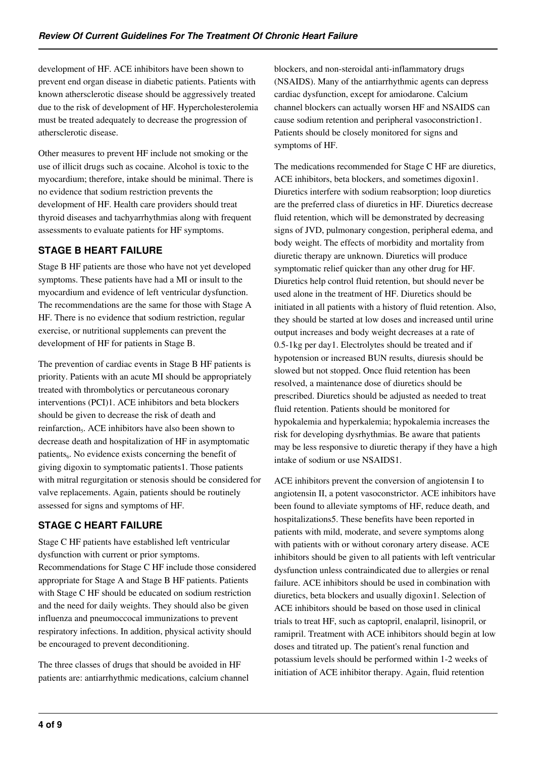development of HF. ACE inhibitors have been shown to prevent end organ disease in diabetic patients. Patients with known athersclerotic disease should be aggressively treated due to the risk of development of HF. Hypercholesterolemia must be treated adequately to decrease the progression of athersclerotic disease.

Other measures to prevent HF include not smoking or the use of illicit drugs such as cocaine. Alcohol is toxic to the myocardium; therefore, intake should be minimal. There is no evidence that sodium restriction prevents the development of HF. Health care providers should treat thyroid diseases and tachyarrhythmias along with frequent assessments to evaluate patients for HF symptoms.

## **STAGE B HEART FAILURE**

Stage B HF patients are those who have not yet developed symptoms. These patients have had a MI or insult to the myocardium and evidence of left ventricular dysfunction. The recommendations are the same for those with Stage A HF. There is no evidence that sodium restriction, regular exercise, or nutritional supplements can prevent the development of HF for patients in Stage B.

The prevention of cardiac events in Stage B HF patients is priority. Patients with an acute MI should be appropriately treated with thrombolytics or percutaneous coronary interventions (PCI)1. ACE inhibitors and beta blockers should be given to decrease the risk of death and reinfarction<sub>s</sub>. ACE inhibitors have also been shown to decrease death and hospitalization of HF in asymptomatic patients<sub>6</sub>. No evidence exists concerning the benefit of giving digoxin to symptomatic patients1. Those patients with mitral regurgitation or stenosis should be considered for valve replacements. Again, patients should be routinely assessed for signs and symptoms of HF.

## **STAGE C HEART FAILURE**

Stage C HF patients have established left ventricular dysfunction with current or prior symptoms. Recommendations for Stage C HF include those considered appropriate for Stage A and Stage B HF patients. Patients with Stage C HF should be educated on sodium restriction and the need for daily weights. They should also be given influenza and pneumoccocal immunizations to prevent respiratory infections. In addition, physical activity should be encouraged to prevent deconditioning.

The three classes of drugs that should be avoided in HF patients are: antiarrhythmic medications, calcium channel blockers, and non-steroidal anti-inflammatory drugs (NSAIDS). Many of the antiarrhythmic agents can depress cardiac dysfunction, except for amiodarone. Calcium channel blockers can actually worsen HF and NSAIDS can cause sodium retention and peripheral vasoconstriction1. Patients should be closely monitored for signs and symptoms of HF.

The medications recommended for Stage C HF are diuretics, ACE inhibitors, beta blockers, and sometimes digoxin1. Diuretics interfere with sodium reabsorption; loop diuretics are the preferred class of diuretics in HF. Diuretics decrease fluid retention, which will be demonstrated by decreasing signs of JVD, pulmonary congestion, peripheral edema, and body weight. The effects of morbidity and mortality from diuretic therapy are unknown. Diuretics will produce symptomatic relief quicker than any other drug for HF. Diuretics help control fluid retention, but should never be used alone in the treatment of HF. Diuretics should be initiated in all patients with a history of fluid retention. Also, they should be started at low doses and increased until urine output increases and body weight decreases at a rate of 0.5-1kg per day1. Electrolytes should be treated and if hypotension or increased BUN results, diuresis should be slowed but not stopped. Once fluid retention has been resolved, a maintenance dose of diuretics should be prescribed. Diuretics should be adjusted as needed to treat fluid retention. Patients should be monitored for hypokalemia and hyperkalemia; hypokalemia increases the risk for developing dysrhythmias. Be aware that patients may be less responsive to diuretic therapy if they have a high intake of sodium or use NSAIDS1.

ACE inhibitors prevent the conversion of angiotensin I to angiotensin II, a potent vasoconstrictor. ACE inhibitors have been found to alleviate symptoms of HF, reduce death, and hospitalizations5. These benefits have been reported in patients with mild, moderate, and severe symptoms along with patients with or without coronary artery disease. ACE inhibitors should be given to all patients with left ventricular dysfunction unless contraindicated due to allergies or renal failure. ACE inhibitors should be used in combination with diuretics, beta blockers and usually digoxin1. Selection of ACE inhibitors should be based on those used in clinical trials to treat HF, such as captopril, enalapril, lisinopril, or ramipril. Treatment with ACE inhibitors should begin at low doses and titrated up. The patient's renal function and potassium levels should be performed within 1-2 weeks of initiation of ACE inhibitor therapy. Again, fluid retention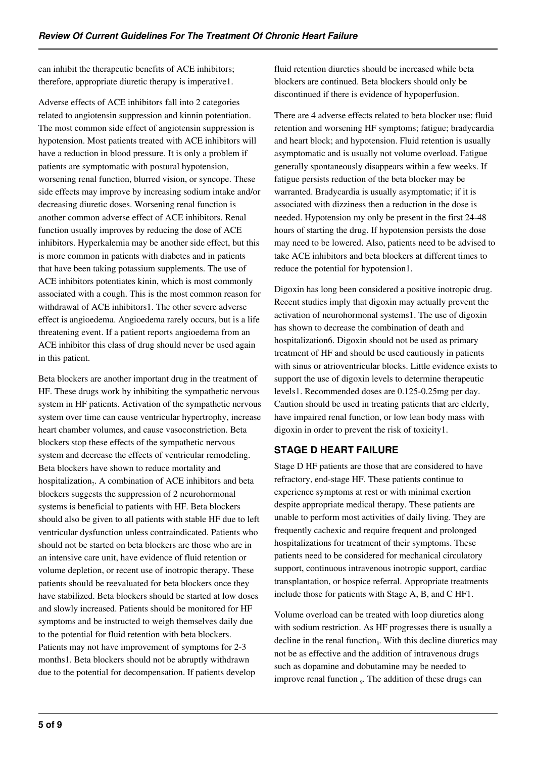can inhibit the therapeutic benefits of ACE inhibitors; therefore, appropriate diuretic therapy is imperative1.

Adverse effects of ACE inhibitors fall into 2 categories related to angiotensin suppression and kinnin potentiation. The most common side effect of angiotensin suppression is hypotension. Most patients treated with ACE inhibitors will have a reduction in blood pressure. It is only a problem if patients are symptomatic with postural hypotension, worsening renal function, blurred vision, or syncope. These side effects may improve by increasing sodium intake and/or decreasing diuretic doses. Worsening renal function is another common adverse effect of ACE inhibitors. Renal function usually improves by reducing the dose of ACE inhibitors. Hyperkalemia may be another side effect, but this is more common in patients with diabetes and in patients that have been taking potassium supplements. The use of ACE inhibitors potentiates kinin, which is most commonly associated with a cough. This is the most common reason for withdrawal of ACE inhibitors1. The other severe adverse effect is angioedema. Angioedema rarely occurs, but is a life threatening event. If a patient reports angioedema from an ACE inhibitor this class of drug should never be used again in this patient.

Beta blockers are another important drug in the treatment of HF. These drugs work by inhibiting the sympathetic nervous system in HF patients. Activation of the sympathetic nervous system over time can cause ventricular hypertrophy, increase heart chamber volumes, and cause vasoconstriction. Beta blockers stop these effects of the sympathetic nervous system and decrease the effects of ventricular remodeling. Beta blockers have shown to reduce mortality and hospitalization<sub>7</sub>. A combination of ACE inhibitors and beta blockers suggests the suppression of 2 neurohormonal systems is beneficial to patients with HF. Beta blockers should also be given to all patients with stable HF due to left ventricular dysfunction unless contraindicated. Patients who should not be started on beta blockers are those who are in an intensive care unit, have evidence of fluid retention or volume depletion, or recent use of inotropic therapy. These patients should be reevaluated for beta blockers once they have stabilized. Beta blockers should be started at low doses and slowly increased. Patients should be monitored for HF symptoms and be instructed to weigh themselves daily due to the potential for fluid retention with beta blockers. Patients may not have improvement of symptoms for 2-3 months1. Beta blockers should not be abruptly withdrawn due to the potential for decompensation. If patients develop

fluid retention diuretics should be increased while beta blockers are continued. Beta blockers should only be discontinued if there is evidence of hypoperfusion.

There are 4 adverse effects related to beta blocker use: fluid retention and worsening HF symptoms; fatigue; bradycardia and heart block; and hypotension. Fluid retention is usually asymptomatic and is usually not volume overload. Fatigue generally spontaneously disappears within a few weeks. If fatigue persists reduction of the beta blocker may be warranted. Bradycardia is usually asymptomatic; if it is associated with dizziness then a reduction in the dose is needed. Hypotension my only be present in the first 24-48 hours of starting the drug. If hypotension persists the dose may need to be lowered. Also, patients need to be advised to take ACE inhibitors and beta blockers at different times to reduce the potential for hypotension1.

Digoxin has long been considered a positive inotropic drug. Recent studies imply that digoxin may actually prevent the activation of neurohormonal systems1. The use of digoxin has shown to decrease the combination of death and hospitalization6. Digoxin should not be used as primary treatment of HF and should be used cautiously in patients with sinus or atrioventricular blocks. Little evidence exists to support the use of digoxin levels to determine therapeutic levels1. Recommended doses are 0.125-0.25mg per day. Caution should be used in treating patients that are elderly, have impaired renal function, or low lean body mass with digoxin in order to prevent the risk of toxicity1.

## **STAGE D HEART FAILURE**

Stage D HF patients are those that are considered to have refractory, end-stage HF. These patients continue to experience symptoms at rest or with minimal exertion despite appropriate medical therapy. These patients are unable to perform most activities of daily living. They are frequently cachexic and require frequent and prolonged hospitalizations for treatment of their symptoms. These patients need to be considered for mechanical circulatory support, continuous intravenous inotropic support, cardiac transplantation, or hospice referral. Appropriate treatments include those for patients with Stage A, B, and C HF1.

Volume overload can be treated with loop diuretics along with sodium restriction. As HF progresses there is usually a decline in the renal function<sub>s</sub>. With this decline diuretics may not be as effective and the addition of intravenous drugs such as dopamine and dobutamine may be needed to improve renal function <sub>9</sub>. The addition of these drugs can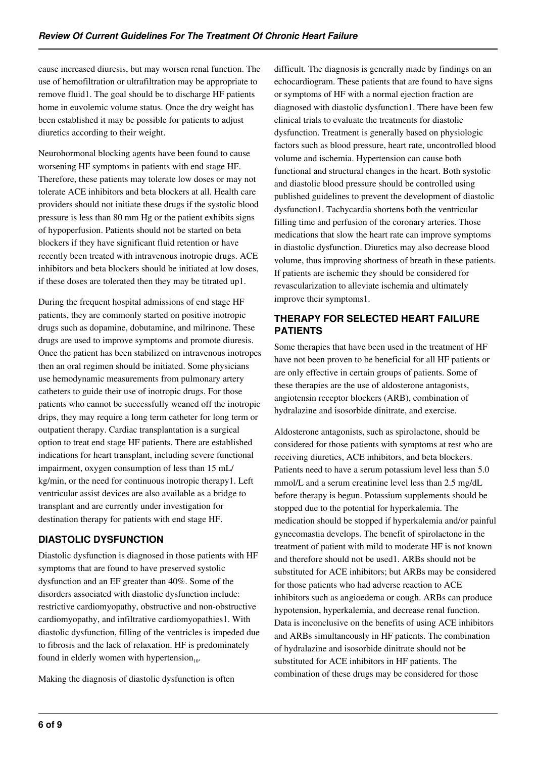cause increased diuresis, but may worsen renal function. The use of hemofiltration or ultrafiltration may be appropriate to remove fluid1. The goal should be to discharge HF patients home in euvolemic volume status. Once the dry weight has been established it may be possible for patients to adjust diuretics according to their weight.

Neurohormonal blocking agents have been found to cause worsening HF symptoms in patients with end stage HF. Therefore, these patients may tolerate low doses or may not tolerate ACE inhibitors and beta blockers at all. Health care providers should not initiate these drugs if the systolic blood pressure is less than 80 mm Hg or the patient exhibits signs of hypoperfusion. Patients should not be started on beta blockers if they have significant fluid retention or have recently been treated with intravenous inotropic drugs. ACE inhibitors and beta blockers should be initiated at low doses, if these doses are tolerated then they may be titrated up1.

During the frequent hospital admissions of end stage HF patients, they are commonly started on positive inotropic drugs such as dopamine, dobutamine, and milrinone. These drugs are used to improve symptoms and promote diuresis. Once the patient has been stabilized on intravenous inotropes then an oral regimen should be initiated. Some physicians use hemodynamic measurements from pulmonary artery catheters to guide their use of inotropic drugs. For those patients who cannot be successfully weaned off the inotropic drips, they may require a long term catheter for long term or outpatient therapy. Cardiac transplantation is a surgical option to treat end stage HF patients. There are established indications for heart transplant, including severe functional impairment, oxygen consumption of less than 15 mL/ kg/min, or the need for continuous inotropic therapy1. Left ventricular assist devices are also available as a bridge to transplant and are currently under investigation for destination therapy for patients with end stage HF.

## **DIASTOLIC DYSFUNCTION**

Diastolic dysfunction is diagnosed in those patients with HF symptoms that are found to have preserved systolic dysfunction and an EF greater than 40%. Some of the disorders associated with diastolic dysfunction include: restrictive cardiomyopathy, obstructive and non-obstructive cardiomyopathy, and infiltrative cardiomyopathies1. With diastolic dysfunction, filling of the ventricles is impeded due to fibrosis and the lack of relaxation. HF is predominately found in elderly women with hypertension $_{10}$ .

Making the diagnosis of diastolic dysfunction is often

difficult. The diagnosis is generally made by findings on an echocardiogram. These patients that are found to have signs or symptoms of HF with a normal ejection fraction are diagnosed with diastolic dysfunction1. There have been few clinical trials to evaluate the treatments for diastolic dysfunction. Treatment is generally based on physiologic factors such as blood pressure, heart rate, uncontrolled blood volume and ischemia. Hypertension can cause both functional and structural changes in the heart. Both systolic and diastolic blood pressure should be controlled using published guidelines to prevent the development of diastolic dysfunction1. Tachycardia shortens both the ventricular filling time and perfusion of the coronary arteries. Those medications that slow the heart rate can improve symptoms in diastolic dysfunction. Diuretics may also decrease blood volume, thus improving shortness of breath in these patients. If patients are ischemic they should be considered for revascularization to alleviate ischemia and ultimately improve their symptoms1.

## **THERAPY FOR SELECTED HEART FAILURE PATIENTS**

Some therapies that have been used in the treatment of HF have not been proven to be beneficial for all HF patients or are only effective in certain groups of patients. Some of these therapies are the use of aldosterone antagonists, angiotensin receptor blockers (ARB), combination of hydralazine and isosorbide dinitrate, and exercise.

Aldosterone antagonists, such as spirolactone, should be considered for those patients with symptoms at rest who are receiving diuretics, ACE inhibitors, and beta blockers. Patients need to have a serum potassium level less than 5.0 mmol/L and a serum creatinine level less than 2.5 mg/dL before therapy is begun. Potassium supplements should be stopped due to the potential for hyperkalemia. The medication should be stopped if hyperkalemia and/or painful gynecomastia develops. The benefit of spirolactone in the treatment of patient with mild to moderate HF is not known and therefore should not be used1. ARBs should not be substituted for ACE inhibitors; but ARBs may be considered for those patients who had adverse reaction to ACE inhibitors such as angioedema or cough. ARBs can produce hypotension, hyperkalemia, and decrease renal function. Data is inconclusive on the benefits of using ACE inhibitors and ARBs simultaneously in HF patients. The combination of hydralazine and isosorbide dinitrate should not be substituted for ACE inhibitors in HF patients. The combination of these drugs may be considered for those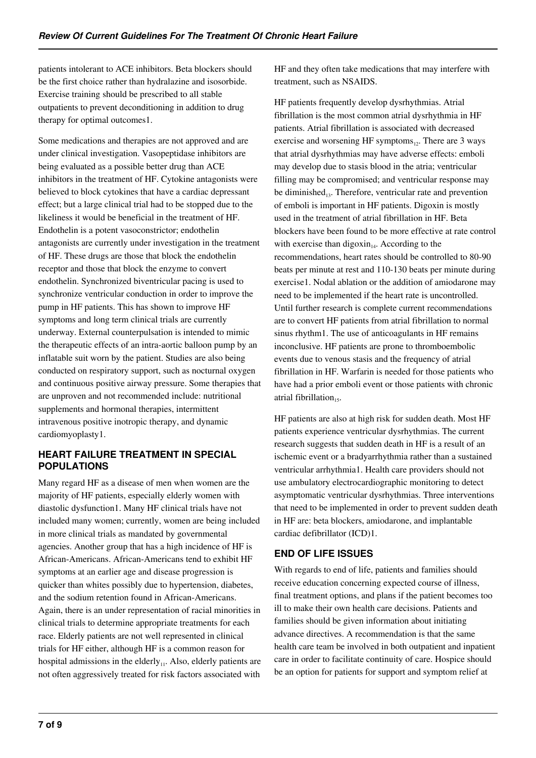patients intolerant to ACE inhibitors. Beta blockers should be the first choice rather than hydralazine and isosorbide. Exercise training should be prescribed to all stable outpatients to prevent deconditioning in addition to drug therapy for optimal outcomes1.

Some medications and therapies are not approved and are under clinical investigation. Vasopeptidase inhibitors are being evaluated as a possible better drug than ACE inhibitors in the treatment of HF. Cytokine antagonists were believed to block cytokines that have a cardiac depressant effect; but a large clinical trial had to be stopped due to the likeliness it would be beneficial in the treatment of HF. Endothelin is a potent vasoconstrictor; endothelin antagonists are currently under investigation in the treatment of HF. These drugs are those that block the endothelin receptor and those that block the enzyme to convert endothelin. Synchronized biventricular pacing is used to synchronize ventricular conduction in order to improve the pump in HF patients. This has shown to improve HF symptoms and long term clinical trials are currently underway. External counterpulsation is intended to mimic the therapeutic effects of an intra-aortic balloon pump by an inflatable suit worn by the patient. Studies are also being conducted on respiratory support, such as nocturnal oxygen and continuous positive airway pressure. Some therapies that are unproven and not recommended include: nutritional supplements and hormonal therapies, intermittent intravenous positive inotropic therapy, and dynamic cardiomyoplasty1.

#### **HEART FAILURE TREATMENT IN SPECIAL POPULATIONS**

Many regard HF as a disease of men when women are the majority of HF patients, especially elderly women with diastolic dysfunction1. Many HF clinical trials have not included many women; currently, women are being included in more clinical trials as mandated by governmental agencies. Another group that has a high incidence of HF is African-Americans. African-Americans tend to exhibit HF symptoms at an earlier age and disease progression is quicker than whites possibly due to hypertension, diabetes, and the sodium retention found in African-Americans. Again, there is an under representation of racial minorities in clinical trials to determine appropriate treatments for each race. Elderly patients are not well represented in clinical trials for HF either, although HF is a common reason for hospital admissions in the elderly $_{11}$ . Also, elderly patients are not often aggressively treated for risk factors associated with

HF and they often take medications that may interfere with treatment, such as NSAIDS.

HF patients frequently develop dysrhythmias. Atrial fibrillation is the most common atrial dysrhythmia in HF patients. Atrial fibrillation is associated with decreased exercise and worsening HF symptoms $_{12}$ . There are 3 ways that atrial dysrhythmias may have adverse effects: emboli may develop due to stasis blood in the atria; ventricular filling may be compromised; and ventricular response may be diminished<sub>13</sub>. Therefore, ventricular rate and prevention of emboli is important in HF patients. Digoxin is mostly used in the treatment of atrial fibrillation in HF. Beta blockers have been found to be more effective at rate control with exercise than digoxin<sub>14</sub>. According to the recommendations, heart rates should be controlled to 80-90 beats per minute at rest and 110-130 beats per minute during exercise1. Nodal ablation or the addition of amiodarone may need to be implemented if the heart rate is uncontrolled. Until further research is complete current recommendations are to convert HF patients from atrial fibrillation to normal sinus rhythm1. The use of anticoagulants in HF remains inconclusive. HF patients are prone to thromboembolic events due to venous stasis and the frequency of atrial fibrillation in HF. Warfarin is needed for those patients who have had a prior emboli event or those patients with chronic atrial fibrillation $_{15}$ .

HF patients are also at high risk for sudden death. Most HF patients experience ventricular dysrhythmias. The current research suggests that sudden death in HF is a result of an ischemic event or a bradyarrhythmia rather than a sustained ventricular arrhythmia1. Health care providers should not use ambulatory electrocardiographic monitoring to detect asymptomatic ventricular dysrhythmias. Three interventions that need to be implemented in order to prevent sudden death in HF are: beta blockers, amiodarone, and implantable cardiac defibrillator (ICD)1.

## **END OF LIFE ISSUES**

With regards to end of life, patients and families should receive education concerning expected course of illness, final treatment options, and plans if the patient becomes too ill to make their own health care decisions. Patients and families should be given information about initiating advance directives. A recommendation is that the same health care team be involved in both outpatient and inpatient care in order to facilitate continuity of care. Hospice should be an option for patients for support and symptom relief at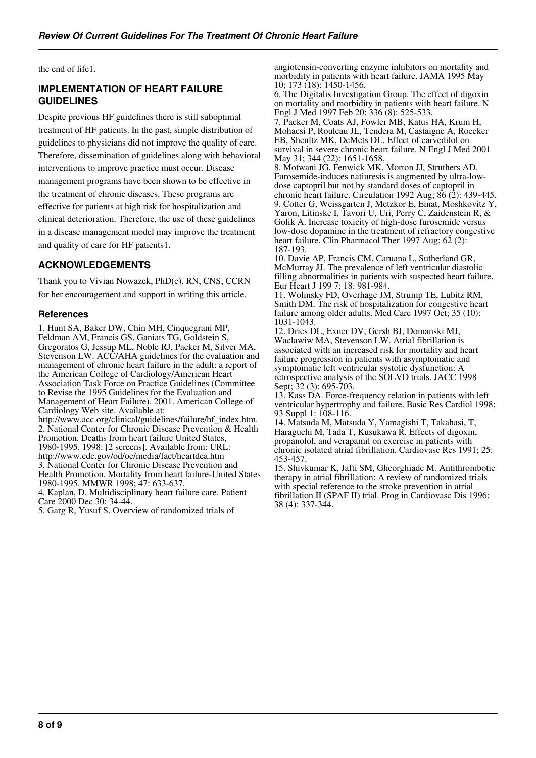the end of life1.

#### **IMPLEMENTATION OF HEART FAILURE GUIDELINES**

Despite previous HF guidelines there is still suboptimal treatment of HF patients. In the past, simple distribution of guidelines to physicians did not improve the quality of care. Therefore, dissemination of guidelines along with behavioral interventions to improve practice must occur. Disease management programs have been shown to be effective in the treatment of chronic diseases. These programs are effective for patients at high risk for hospitalization and clinical deterioration. Therefore, the use of these guidelines in a disease management model may improve the treatment and quality of care for HF patients1.

#### **ACKNOWLEDGEMENTS**

Thank you to Vivian Nowazek, PhD(c), RN, CNS, CCRN for her encouragement and support in writing this article.

#### **References**

1. Hunt SA, Baker DW, Chin MH, Cinquegrani MP, Feldman AM, Francis GS, Ganiats TG, Goldstein S, Gregoratos G, Jessup ML, Noble RJ, Packer M, Silver MA, Stevenson LW. ACC/AHA guidelines for the evaluation and management of chronic heart failure in the adult: a report of the American College of Cardiology/American Heart Association Task Force on Practice Guidelines (Committee to Revise the 1995 Guidelines for the Evaluation and Management of Heart Failure). 2001. American College of Cardiology Web site. Available at: http://www.acc.org/clinical/guidelines/failure/hf\_index.htm. 2. National Center for Chronic Disease Prevention & Health Promotion. Deaths from heart failure United States, 1980-1995. 1998: [2 screens]. Available from: URL: http://www.cdc.gov/od/oc/media/fact/heartdea.htm 3. National Center for Chronic Disease Prevention and Health Promotion. Mortality from heart failure-United States 1980-1995. MMWR 1998; 47: 633-637. 4. Kaplan, D. Multidisciplinary heart failure care. Patient Care 2000 Dec 30: 34-44. 5. Garg R, Yusuf S. Overview of randomized trials of

angiotensin-converting enzyme inhibitors on mortality and morbidity in patients with heart failure. JAMA 1995 May 10; 173 (18): 1450-1456.

6. The Digitalis Investigation Group. The effect of digoxin on mortality and morbidity in patients with heart failure. N Engl J Med 1997 Feb 20; 336 (8): 525-533.

7. Packer M, Coats AJ, Fowler MB, Katus HA, Krum H, Mohacsi P, Rouleau JL, Tendera M, Castaigne A, Roecker EB, Shcultz MK, DeMets DL. Effect of carvedilol on survival in severe chronic heart failure. N Engl J Med 2001 May 31; 344 (22): 1651-1658.

8. Motwani JG, Fenwick MK, Morton JJ, Struthers AD. Furosemide-induces natiuresis is augmented by ultra-lowdose captopril but not by standard doses of captopril in chronic heart failure. Circulation 1992 Aug;  $86(2)$ : 439-445. 9. Cotter G, Weissgarten J, Metzkor E, Einat, Moshkovitz Y, Yaron, Litinske I, Tavori U, Uri, Perry C, Zaidenstein R, & Golik A. Increase toxicity of high-dose furosemide versus low-dose dopamine in the treatment of refractory congestive heart failure. Clin Pharmacol Ther 1997 Aug;  $62(2)$ : 187-193.

10. Davie AP, Francis CM, Caruana L, Sutherland GR, McMurray JJ. The prevalence of left ventricular diastolic filling abnormalities in patients with suspected heart failure. Eur Heart J 199 7; 18: 981-984.

11. Wolinsky FD, Overhage JM, Strump TE, Lubitz RM, Smith DM. The risk of hospitalization for congestive heart failure among older adults. Med Care 1997 Oct; 35 (10): 1031-1043.

12. Dries DL, Exner DV, Gersh BJ, Domanski MJ, Waclawiw MA, Stevenson LW. Atrial fibrillation is associated with an increased risk for mortality and heart failure progression in patients with asymptomatic and symptomatic left ventricular systolic dysfunction: A retrospective analysis of the SOLVD trials. JACC 1998 Sept; 32 (3): 695-703.

13. Kass DA. Force-frequency relation in patients with left ventricular hypertrophy and failure. Basic Res Cardiol 1998; 93 Suppl 1: 108-116.

14. Matsuda M, Matsuda Y, Yamagishi T, Takahasi, T, Haraguchi M, Tada T, Kusukawa R. Effects of digoxin, propanolol, and verapamil on exercise in patients with chronic isolated atrial fibrillation. Cardiovasc Res 1991; 25: 453-457.

15. Shivkumar K, Jafti SM, Gheorghiade M. Antithrombotic therapy in atrial fibrillation: A review of randomized trials with special reference to the stroke prevention in atrial fibrillation II (SPAF II) trial. Prog in Cardiovasc Dis 1996; 38 (4): 337-344.